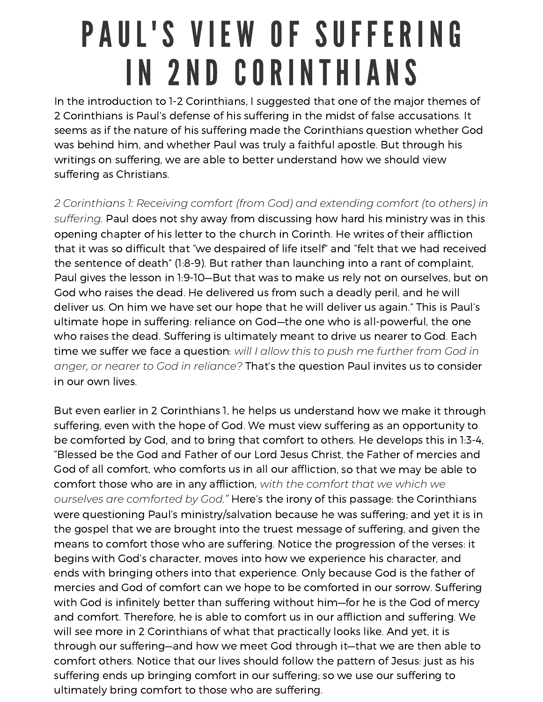## PAUL'S VIEW OF SUFFERING IN 2ND CORINTHIANS

In the introduction to 1-2 Corinthians, I suggested that one of the major themes of 2 Corinthians is Paul's defense of his suffering in the midst of false accusations. It seems as if the nature of his suffering made the Corinthians question whether God was behind him, and whether Paul was truly <sup>a</sup> faithful apostle. But through his writings on suffering, we are able to better understand how we should view suffering as Christians.

*2 Corinthians 1: Receiving comfort (from God) and extending comfort (to others) in suffering.* Paul does not shy away from discussing how hard his ministry was in this opening chapter of his letter to the church in Corinth. He writes of their affliction that it was so difficult that "we despaired of life itself" and "felt that we had received the sentence of death" (1:8-9). But rather than launching into <sup>a</sup> rant of complaint, Paul gives the lesson in 1:9-10—But that was to make us rely not on ourselves, but on God who raises the dead. He delivered us from such <sup>a</sup> deadly peril, and he will deliver us. On him we have set our hope that he will deliver us again." This is Paul's ultimate hope in suffering: reliance on God—the one who is all-powerful, the one who raises the dead. Suffering is ultimately meant to drive us nearer to God. Each time we suffer we face <sup>a</sup> question: *will I allow this to push me further from God in anger, or nearer to God in reliance?* That's the question Paul invites us to consider in our own lives.

But even earlier in 2 Corinthians 1, he helps us understand how we make it through suffering, even with the hope of God. We must view suffering as an opportunity to be comforted by God, and to bring that comfort to others. He develops this in 1:3-4, "Blessed be the God and Father of our Lord Jesus Christ, the Father of mercies and God of all comfort, who comforts us in all our affliction, so that we may be able to comfort those who are in any affliction, *with the comfort that we which we ourselves are comforted by God."* Here's the irony of this passage: the Corinthians were questioning Paul's ministry/salvation because he was suffering; and yet it is in the gospel that we are brought into the truest message of suffering, and given the means to comfort those who are suffering. Notice the progression of the verses: it begins with God's character, moves into how we experience his character, and ends with bringing others into that experience. Only because God is the father of mercies and God of comfort can we hope to be comforted in our sorrow. Suffering with God is infinitely better than suffering without him—for he is the God of mercy and comfort. Therefore, he is able to comfort us in our affliction and suffering. We will see more in 2 Corinthians of what that practically looks like. And yet, it is through our suffering—and how we meet God through it—that we are then able to comfort others. Notice that our lives should follow the pattern of Jesus: just as his suffering ends up bringing comfort in our suffering; so we use our suffering to ultimately bring comfort to those who are suffering.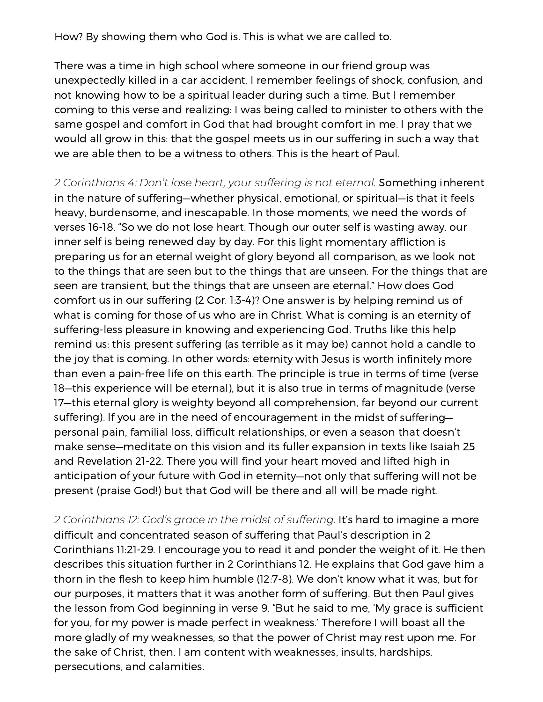How? By showing them who God is. This is what we are called to.

There was <sup>a</sup> time in high school where someone in our friend group was unexpectedly killed in <sup>a</sup> car accident. I remember feelings of shock, confusion, and not knowing how to be <sup>a</sup> spiritual leader during such <sup>a</sup> time. But I remember coming to this verse and realizing: I was being called to minister to others with the same gospel and comfort in God that had brought comfort in me. I pray that we would all grow in this: that the gospel meets us in our suffering in such <sup>a</sup> way that we are able then to be a witness to others. This is the heart of Paul.

*2 Corinthians 4: Don't lose heart, your suffering is not eternal.* Something inherent in the nature of suffering—whether physical, emotional, or spiritual—is that it feels heavy, burdensome, and inescapable. In those moments, we need the words of verses 16-18. "So we do not lose heart. Though our outer self is wasting away, our inner self is being renewed day by day. For this light momentary affliction is preparing us for an eternal weight of glory beyond all comparison, as we look not to the things that are seen but to the things that are unseen. For the things that are seen are transient, but the things that are unseen are eternal." How does God comfort us in our suffering (2 Cor. 1:3-4)? One answer is by helping remind us of what is coming for those of us who are in Christ. What is coming is an eternity of suffering-less pleasure in knowing and experiencing God. Truths like this help remind us: this present suffering (as terrible as it may be) cannot hold <sup>a</sup> candle to the joy that is coming. In other words: eternity with Jesus is worth infinitely more than even <sup>a</sup> pain-free life on this earth. The principle is true in terms of time (verse 18—this experience will be eternal), but it is also true in terms of magnitude (verse 17—this eternal glory is weighty beyond all comprehension, far beyond our current suffering). If you are in the need of encouragement in the midst of suffering personal pain, familial loss, difficult relationships, or even <sup>a</sup> season that doesn't make sense—meditate on this vision and its fuller expansion in texts like Isaiah 25 and Revelation 21-22. There you will find your heart moved and lifted high in anticipation of your future with God in eternity—not only that suffering will not be present (praise God!) but that God will be there and all will be made right.

*2 Corinthians 12: God's grace in the midst of suffering.* It's hard to imagine <sup>a</sup> more difficult and concentrated season of suffering that Paul's description in 2 Corinthians 11:21-29. I encourage you to read it and ponder the weight of it. He then describes this situation further in 2 Corinthians 12. He explains that God gave him <sup>a</sup> thorn in the flesh to keep him humble (12:7-8). We don't know what it was, but for our purposes, it matters that it was another form of suffering. But then Paul gives the lesson from God beginning in verse 9. "But he said to me, 'My grace is sufficient for you, for my power is made perfect in weakness.' Therefore I will boast all the more gladly of my weaknesses, so that the power of Christ may rest upon me. For the sake of Christ, then, I am content with weaknesses, insults, hardships, persecutions, and calamities.